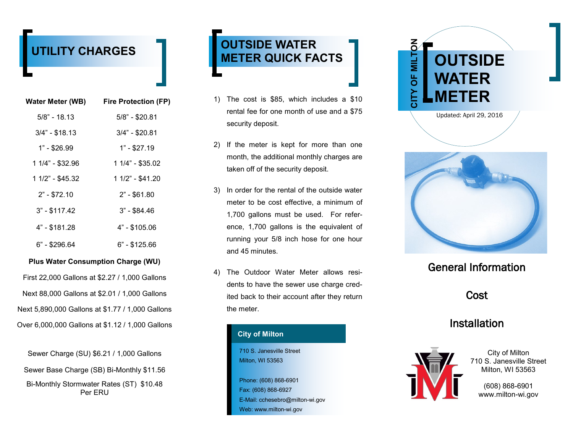# **UTILITY CHARGES**

| Water Meter (WB) | <b>Fire Protection (FP)</b> |
|------------------|-----------------------------|
| $5/8$ " - 18.13  | 5/8" - \$20.81              |
| $3/4" - $18.13$  | $3/4" - $20.81$             |
| $1" - $26.99$    | $1" - $27.19$               |
| 1 1/4" - \$32.96 | 1 1/4" - \$35.02            |
| 1 1/2" - \$45.32 | 1 1/2" - \$41.20            |
| $2" - $72.10$    | $2" - $61.80$               |
| $3" - $117.42$   | $3" - $84.46$               |
| 4" - \$181.28    | 4" - \$105.06               |
| 6" - \$296.64    | 6" - \$125.66               |
|                  |                             |

### **Plus Water Consumption Charge (WU)**

First 22,000 Gallons at \$2.27 / 1,000 Gallons Next 88,000 Gallons at \$2.01 / 1,000 Gallons Next 5,890,000 Gallons at \$1.77 / 1,000 Gallons Over 6,000,000 Gallons at \$1.12 / 1,000 Gallons

Sewer Charge (SU) \$6.21 / 1,000 Gallons Sewer Base Charge (SB) Bi-Monthly \$11.56 Bi-Monthly Stormwater Rates (ST) \$10.48 Per ERU

# **OUTSIDE WATER METER QUICK FACTS**

- 1) The cost is \$85, which includes a \$10 rental fee for one month of use and a \$75 security deposit.
- 2) If the meter is kept for more than one month, the additional monthly charges are taken off of the security deposit.
- 3) In order for the rental of the outside water meter to be cost effective, a minimum of 1,700 gallons must be used. For reference, 1,700 gallons is the equivalent of running your 5/8 inch hose for one hour and 45 minutes.
- 4) The Outdoor Water Meter allows residents to have the sewer use charge credited back to their account after they return the meter.

### **City of Milton**

710 S. Janesville Street Milton, WI 53563

Phone: (608) 868-6901 Fax: (608) 868-6927 E-Mail: cchesebro@milton-wi.gov Web: www.milton-wi.gov





## General Information

**Cost** 

### Installation



City of Milton 710 S. Janesville Street Milton, WI 53563

(608) 868-6901 www.milton-wi.gov